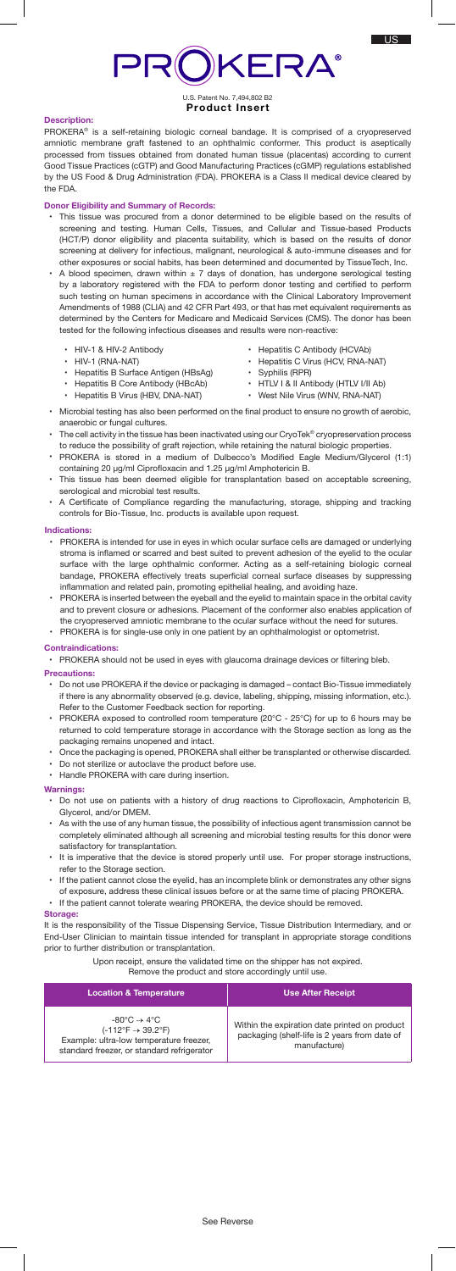# PROKERA®

# U.S. Patent No. 7,494,802 B2 **Product Insert**

# **Description:**

PROKERA® is a self-retaining biologic corneal bandage. It is comprised of a cryopreserved amniotic membrane graft fastened to an ophthalmic conformer. This product is aseptically processed from tissues obtained from donated human tissue (placentas) according to current Good Tissue Practices (cGTP) and Good Manufacturing Practices (cGMP) regulations established by the US Food & Drug Administration (FDA). PROKERA is a Class II medical device cleared by the FDA.

## **Donor Eligibility and Summary of Records:**

- This tissue was procured from a donor determined to be eligible based on the results of screening and testing. Human Cells, Tissues, and Cellular and Tissue-based Products (HCT/P) donor eligibility and placenta suitability, which is based on the results of donor screening at delivery for infectious, malignant, neurological & auto-immune diseases and for other exposures or social habits, has been determined and documented by TissueTech, Inc.
- A blood specimen, drawn within  $\pm$  7 days of donation, has undergone serological testing by a laboratory registered with the FDA to perform donor testing and certified to perform such testing on human specimens in accordance with the Clinical Laboratory Improvement Amendments of 1988 (CLIA) and 42 CFR Part 493, or that has met equivalent requirements as determined by the Centers for Medicare and Medicaid Services (CMS). The donor has been tested for the following infectious diseases and results were non-reactive:
	- HIV-1 & HIV-2 Antibody • HIV-1 (RNA-NAT)
- Hepatitis C Antibody (HCVAb)
- Hepatitis C Virus (HCV, RNA-NAT)
- Syphilis (RPR)
- HTLV I & II Antibody (HTLV I/II Ab)
- Hepatitis B Core Antibody (HBcAb) • Hepatitis B Virus (HBV, DNA-NAT)

• Hepatitis B Surface Antigen (HBsAg)

- 
- West Nile Virus (WNV, RNA-NAT)
- Microbial testing has also been performed on the final product to ensure no growth of aerobic, anaerobic or fungal cultures.
- The cell activity in the tissue has been inactivated using our CryoTek® cryopreservation process to reduce the possibility of graft rejection, while retaining the natural biologic properties.
- PROKERA is stored in a medium of Dulbecco's Modified Eagle Medium/Glycerol (1:1) containing 20 µg/ml Ciprofloxacin and 1.25 µg/ml Amphotericin B.
- This tissue has been deemed eligible for transplantation based on acceptable screening, serological and microbial test results.
- A Certificate of Compliance regarding the manufacturing, storage, shipping and tracking controls for Bio-Tissue, Inc. products is available upon request.

## **Indications:**

- PROKERA is intended for use in eyes in which ocular surface cells are damaged or underlying stroma is inflamed or scarred and best suited to prevent adhesion of the eyelid to the ocular surface with the large ophthalmic conformer. Acting as a self-retaining biologic corneal bandage, PROKERA effectively treats superficial corneal surface diseases by suppressing inflammation and related pain, promoting epithelial healing, and avoiding haze.
- PROKERA is inserted between the eyeball and the eyelid to maintain space in the orbital cavity and to prevent closure or adhesions. Placement of the conformer also enables application of the cryopreserved amniotic membrane to the ocular surface without the need for sutures. PROKERA is for single-use only in one patient by an ophthalmologist or optometrist.

## **Contraindications:**

• PROKERA should not be used in eyes with glaucoma drainage devices or filtering bleb.

### **Precautions:**

- Do not use PROKERA if the device or packaging is damaged contact Bio-Tissue immediately if there is any abnormality observed (e.g. device, labeling, shipping, missing information, etc.). Refer to the Customer Feedback section for reporting.
- PROKERA exposed to controlled room temperature (20°C 25°C) for up to 6 hours may be returned to cold temperature storage in accordance with the Storage section as long as the packaging remains unopened and intact.
- Once the packaging is opened, PROKERA shall either be transplanted or otherwise discarded.
- Do not sterilize or autoclave the product before use.
- Handle PROKERA with care during insertion.

#### **Warnings:**

- Do not use on patients with a history of drug reactions to Ciprofloxacin, Amphotericin B, Glycerol, and/or DMEM.
- As with the use of any human tissue, the possibility of infectious agent transmission cannot be completely eliminated although all screening and microbial testing results for this donor were satisfactory for transplantation.
- It is imperative that the device is stored properly until use. For proper storage instructions, refer to the Storage section.
- If the patient cannot close the eyelid, has an incomplete blink or demonstrates any other signs of exposure, address these clinical issues before or at the same time of placing PROKERA. • If the patient cannot tolerate wearing PROKERA, the device should be removed.

#### **Storage:**

It is the responsibility of the Tissue Dispensing Service, Tissue Distribution Intermediary, and or End-User Clinician to maintain tissue intended for transplant in appropriate storage conditions prior to further distribution or transplantation.

Upon receipt, ensure the validated time on the shipper has not expired.

Remove the product and store accordingly until use.

| <b>Location &amp; Temperature</b>                                                                                                                                                 | <b>Use After Receipt</b>                                                                                       |
|-----------------------------------------------------------------------------------------------------------------------------------------------------------------------------------|----------------------------------------------------------------------------------------------------------------|
| $-80^{\circ}$ C $\rightarrow 4^{\circ}$ C<br>$(-112^{\circ}F \rightarrow 39.2^{\circ}F)$<br>Example: ultra-low temperature freezer,<br>standard freezer, or standard refrigerator | Within the expiration date printed on product<br>packaging (shelf-life is 2 years from date of<br>manufacture) |